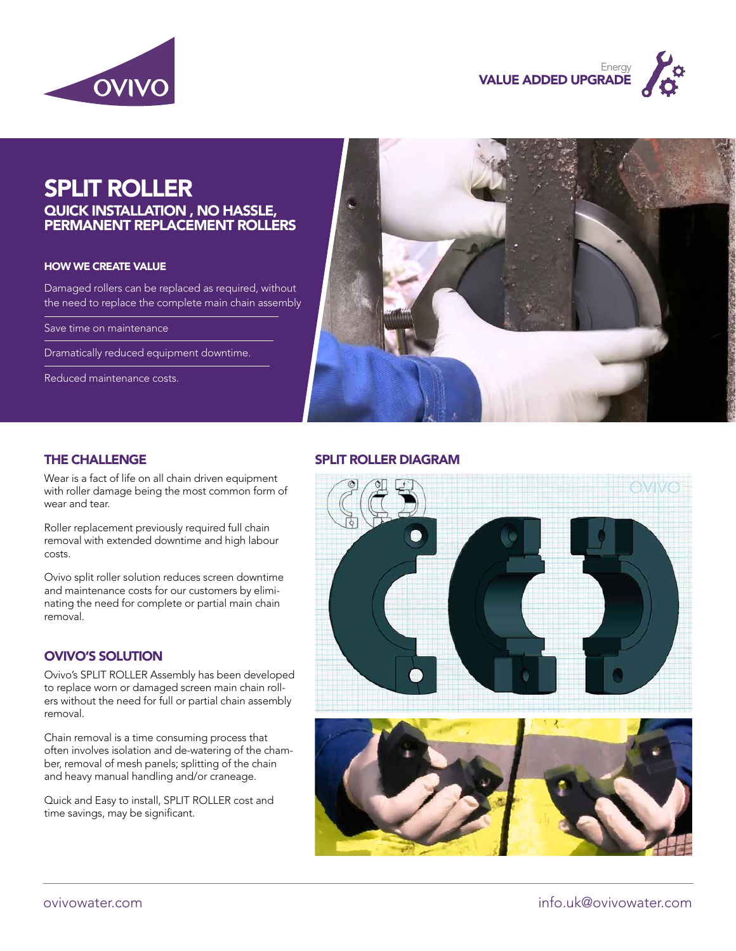



# SPLIT ROLLER

#### QUICK INSTALLATION , NO HASSLE, PERMANENT REPLACEMENT ROLLERS

#### HOW WE CREATE VALUE

Damaged rollers can be replaced as required, without the need to replace the complete main chain assembly

Save time on maintenance

Dramatically reduced equipment downtime.

Reduced maintenance costs.



Wear is a fact of life on all chain driven equipment with roller damage being the most common form of wear and tear.

Roller replacement previously required full chain removal with extended downtime and high labour costs.

Ovivo split roller solution reduces screen downtime and maintenance costs for our customers by eliminating the need for complete or partial main chain removal.

#### OVIVO'S SOLUTION

Ovivo's SPLIT ROLLER Assembly has been developed to replace worn or damaged screen main chain rollers without the need for full or partial chain assembly removal.

Chain removal is a time consuming process that often involves isolation and de-watering of the chamber, removal of mesh panels; splitting of the chain and heavy manual handling and/or craneage.

Quick and Easy to install, SPLIT ROLLER cost and time savings, may be significant.

### THE CHALLENGE SPLIT ROLLER DIAGRAM